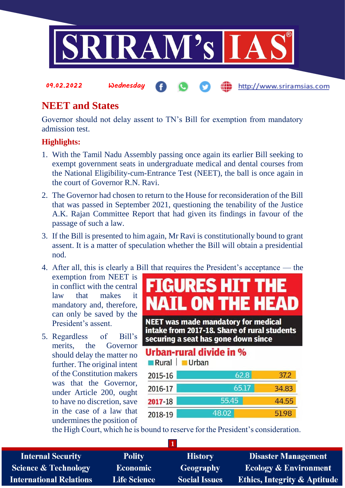

# **NEET and States**

09.02.2022 Wednesday

Governor should not delay assent to TN's Bill for exemption from mandatory admission test.

#### **Highlights:**

- 1. With the Tamil Nadu Assembly passing once again its earlier Bill seeking to exempt government seats in undergraduate medical and dental courses from the National Eligibility-cum-Entrance Test (NEET), the ball is once again in the court of Governor R.N. Ravi.
- 2. The Governor had chosen to return to the House for reconsideration of the Bill that was passed in September 2021, questioning the tenability of the Justice A.K. Rajan Committee Report that had given its findings in favour of the passage of such a law.
- 3. If the Bill is presented to him again, Mr Ravi is constitutionally bound to grant assent. It is a matter of speculation whether the Bill will obtain a presidential nod.
- 4. After all, this is clearly a Bill that requires the President's acceptance the exemption from NEET is in conflict with the central law that makes it mandatory and, therefore, can only be saved by the President's assent.
- 5. Regardless of Bill's merits, the Governor should delay the matter no further. The original intent of the Constitution makers was that the Governor, under Article 200, ought to have no discretion, save in the case of a law that undermines the position of

# **FIGURES HIT THE NAIL ON THE HEAD**

http://www.sriramsias.com

**NEET was made mandatory for medical** intake from 2017-18. Share of rural students securing a seat has gone down since

## Urban-rural divide in %

| Rural   | <b>Urban</b> |       |
|---------|--------------|-------|
| 2015-16 | 62.8         | 37.2  |
| 2016-17 | 65.17        | 34.83 |
| 2017-18 | 55.45        | 44.55 |
| 2018-19 | 48.02        | 51.98 |

the High Court, which he is bound to reserve for the President's consideration.

**1**

| <b>Internal Security</b>        | <b>Polity</b>       | <b>History</b>       | <b>Disaster Management</b>       |
|---------------------------------|---------------------|----------------------|----------------------------------|
| <b>Science &amp; Technology</b> | <b>Economic</b>     | Geography            | <b>Ecology &amp; Environment</b> |
| <b>International Relations</b>  | <b>Life Science</b> | <b>Social Issues</b> | Ethics, Integrity & Aptitude     |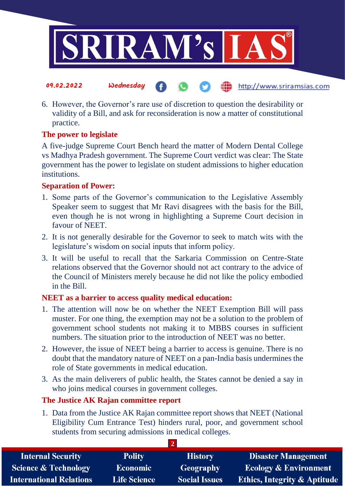

- 09.02.2022 Wednesday http://www.sriramsias.com
- 6. However, the Governor's rare use of discretion to question the desirability or validity of a Bill, and ask for reconsideration is now a matter of constitutional practice.

#### **The power to legislate**

A five-judge Supreme Court Bench heard the matter of Modern Dental College vs Madhya Pradesh government. The Supreme Court verdict was clear: The State government has the power to legislate on student admissions to higher education institutions.

#### **Separation of Power:**

- 1. Some parts of the Governor's communication to the Legislative Assembly Speaker seem to suggest that Mr Ravi disagrees with the basis for the Bill, even though he is not wrong in highlighting a Supreme Court decision in favour of NEET.
- 2. It is not generally desirable for the Governor to seek to match wits with the legislature's wisdom on social inputs that inform policy.
- 3. It will be useful to recall that the Sarkaria Commission on Centre-State relations observed that the Governor should not act contrary to the advice of the Council of Ministers merely because he did not like the policy embodied in the Bill.

#### **NEET as a barrier to access quality medical education:**

- 1. The attention will now be on whether the NEET Exemption Bill will pass muster. For one thing, the exemption may not be a solution to the problem of government school students not making it to MBBS courses in sufficient numbers. The situation prior to the introduction of NEET was no better.
- 2. However, the issue of NEET being a barrier to access is genuine. There is no doubt that the mandatory nature of NEET on a pan-India basis undermines the role of State governments in medical education.
- 3. As the main deliverers of public health, the States cannot be denied a say in who joins medical courses in government colleges.

#### **The Justice AK Rajan committee report**

1. Data from the Justice AK Rajan committee report shows that NEET (National Eligibility Cum Entrance Test) hinders rural, poor, and government school students from securing admissions in medical colleges.

**2** 

| <b>Internal Security</b>        | <b>Polity</b>       | <b>History</b>       | Disaster Management                     |
|---------------------------------|---------------------|----------------------|-----------------------------------------|
| <b>Science &amp; Technology</b> | <b>Economic</b>     | Geography            | <b>Ecology &amp; Environment</b>        |
| <b>International Relations</b>  | <b>Life Science</b> | <b>Social Issues</b> | <b>Ethics, Integrity &amp; Aptitude</b> |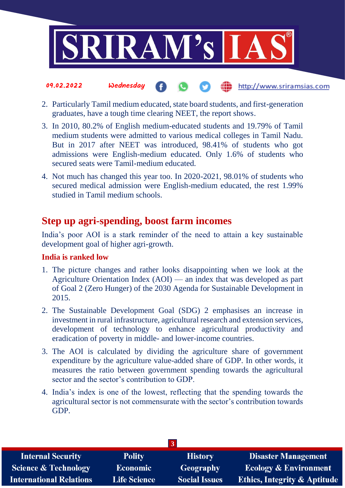

2. Particularly Tamil medium educated, state board students, and first-generation graduates, have a tough time clearing NEET, the report shows.

the http://www.sriramsias.com

- 3. In 2010, 80.2% of English medium-educated students and 19.79% of Tamil medium students were admitted to various medical colleges in Tamil Nadu. But in 2017 after NEET was introduced, 98.41% of students who got admissions were English-medium educated. Only 1.6% of students who secured seats were Tamil-medium educated.
- 4. Not much has changed this year too. In 2020-2021, 98.01% of students who secured medical admission were English-medium educated, the rest 1.99% studied in Tamil medium schools.

## **Step up agri-spending, boost farm incomes**

India's poor AOI is a stark reminder of the need to attain a key sustainable development goal of higher agri-growth.

### **India is ranked low**

09.02.2022 Wednesday

- 1. The picture changes and rather looks disappointing when we look at the Agriculture Orientation Index (AOI) — an index that was developed as part of Goal 2 (Zero Hunger) of the 2030 Agenda for Sustainable Development in 2015.
- 2. The Sustainable Development Goal (SDG) 2 emphasises an increase in investment in rural infrastructure, agricultural research and extension services, development of technology to enhance agricultural productivity and eradication of poverty in middle- and lower-income countries.
- 3. The AOI is calculated by dividing the agriculture share of government expenditure by the agriculture value-added share of GDP. In other words, it measures the ratio between government spending towards the agricultural sector and the sector's contribution to GDP.
- 4. India's index is one of the lowest, reflecting that the spending towards the agricultural sector is not commensurate with the sector's contribution towards GDP.

| <b>Internal Security</b>        | <b>Polity</b>       | <b>History</b>       | <b>Disaster Management</b>              |
|---------------------------------|---------------------|----------------------|-----------------------------------------|
| <b>Science &amp; Technology</b> | <b>Economic</b>     | Geography            | <b>Ecology &amp; Environment</b>        |
| <b>International Relations</b>  | <b>Life Science</b> | <b>Social Issues</b> | <b>Ethics, Integrity &amp; Aptitude</b> |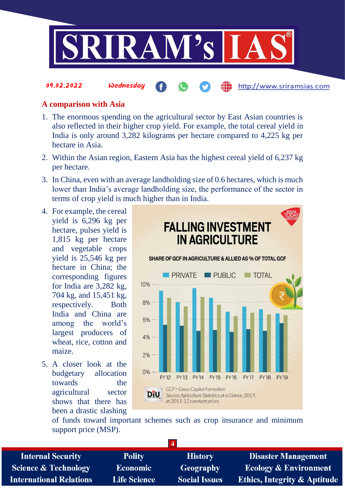

#### **A comparison with Asia**

09.02.2022 Wednesday

- 1. The enormous spending on the agricultural sector by East Asian countries is also reflected in their higher crop yield. For example, the total cereal yield in India is only around 3,282 kilograms per hectare compared to 4,225 kg per hectare in Asia.
- 2. Within the Asian region, Eastern Asia has the highest cereal yield of 6,237 kg per hectare.
- 3. In China, even with an average landholding size of 0.6 hectares, which is much lower than India's average landholding size, the performance of the sector in terms of crop yield is much higher than in India.
- 4. For example, the cereal yield is 6,296 kg per hectare, pulses yield is 1,815 kg per hectare and vegetable crops yield is 25,546 kg per hectare in China; the corresponding figures for India are 3,282 kg, 704 kg, and 15,451 kg, respectively. Both India and China are among the world's largest producers of wheat, rice, cotton and maize.
- 5. A closer look at the budgetary allocation towards the agricultural sector shows that there has been a drastic slashing



of funds toward important schemes such as crop insurance and minimum support price (MSP).

**4**

| <b>Internal Security</b>        |
|---------------------------------|
| <b>Science &amp; Technology</b> |
| <b>International Relations</b>  |

**Polity Economic Life Science** 

**History Geography Social Issues** 

**Disaster Management Ecology & Environment Ethics, Integrity & Aptitude** 

http://www.sriramsias.com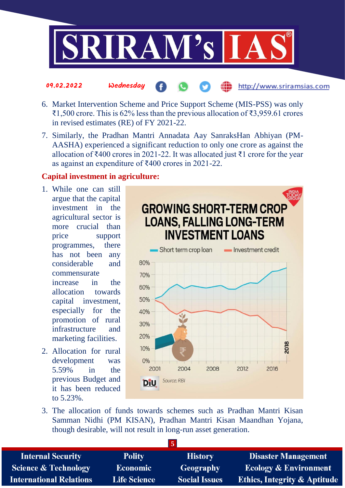

- 6. Market Intervention Scheme and Price Support Scheme (MIS-PSS) was only ₹1,500 crore. This is 62% less than the previous allocation of ₹3,959.61 crores in revised estimates (RE) of FY 2021-22.
- 7. Similarly, the Pradhan Mantri Annadata Aay SanraksHan Abhiyan (PM-AASHA) experienced a significant reduction to only one crore as against the allocation of ₹400 crores in 2021-22. It was allocated just ₹1 crore for the year as against an expenditure of ₹400 crores in 2021-22.

#### **Capital investment in agriculture:**

09.02.2022 Wednesday

- 1. While one can still argue that the capital investment in the agricultural sector is more crucial than price support programmes, there has not been any considerable and commensurate increase in the allocation towards capital investment, especially for the promotion of rural infrastructure and marketing facilities.
- 2. Allocation for rural development was 5.59% in the previous Budget and it has been reduced to 5.23%.



http://www.sriramsias.com

3. The allocation of funds towards schemes such as Pradhan Mantri Kisan Samman Nidhi (PM KISAN), Pradhan Mantri Kisan Maandhan Yojana, though desirable, will not result in long-run asset generation.

| <b>Internal Security</b>        | <b>Polity</b>       | <b>History</b>       | <b>Disaster Management</b>              |
|---------------------------------|---------------------|----------------------|-----------------------------------------|
| <b>Science &amp; Technology</b> | <b>Economic</b>     | Geography            | <b>Ecology &amp; Environment</b>        |
| <b>International Relations</b>  | <b>Life Science</b> | <b>Social Issues</b> | <b>Ethics, Integrity &amp; Aptitude</b> |